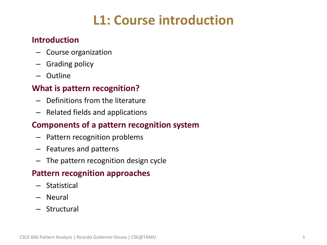# **L1: Course introduction**

#### • **Introduction**

- Course organization
- Grading policy
- Outline

#### • **What is pattern recognition?**

- Definitions from the literature
- Related fields and applications

#### • **Components of a pattern recognition system**

- Pattern recognition problems
- Features and patterns
- The pattern recognition design cycle

#### • **Pattern recognition approaches**

- Statistical
- Neural
- Structural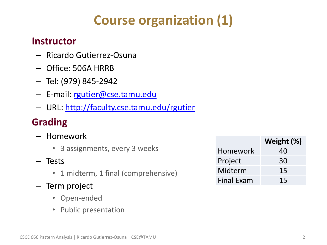# **Course organization (1)**

### • **Instructor**

- Ricardo Gutierrez-Osuna
- Office: 506A HRRB
- Tel: (979) 845-2942
- E-mail: [rgutier@cse.tamu.edu](mailto:rgutier@cse.tamu.edu)
- URL: <http://faculty.cse.tamu.edu/rgutier>

# • **Grading**

- Homework
	- 3 assignments, every 3 weeks
- Tests
	- 1 midterm, 1 final (comprehensive)
- Term project
	- Open-ended
	- Public presentation

|                   | Weight (%) |
|-------------------|------------|
| Homework          | 40         |
| Project           | 30         |
| Midterm           | 15         |
| <b>Final Exam</b> | 15         |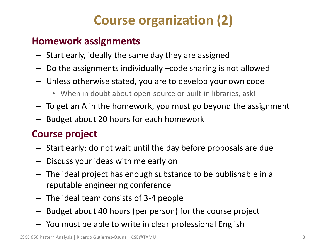# **Course organization (2)**

### • **Homework assignments**

- Start early, ideally the same day they are assigned
- Do the assignments individually –code sharing is not allowed
- Unless otherwise stated, you are to develop your own code
	- When in doubt about open-source or built-in libraries, ask!
- To get an A in the homework, you must go beyond the assignment
- Budget about 20 hours for each homework

## • **Course project**

- Start early; do not wait until the day before proposals are due
- Discuss your ideas with me early on
- The ideal project has enough substance to be publishable in a reputable engineering conference
- The ideal team consists of 3-4 people
- Budget about 40 hours (per person) for the course project
- You must be able to write in clear professional English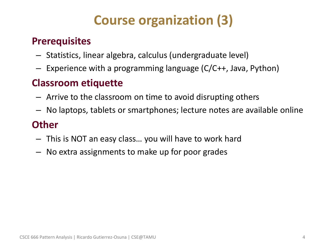# **Course organization (3)**

### • **Prerequisites**

- Statistics, linear algebra, calculus (undergraduate level)
- Experience with a programming language (C/C++, Java, Python)

## • **Classroom etiquette**

- Arrive to the classroom on time to avoid disrupting others
- No laptops, tablets or smartphones; lecture notes are available online

### • **Other**

- This is NOT an easy class… you will have to work hard
- No extra assignments to make up for poor grades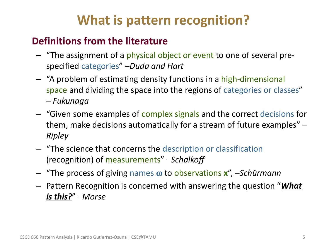# **What is pattern recognition?**

## • **Definitions from the literature**

- "The assignment of a physical object or event to one of several prespecified categories" –*Duda and Hart*
- "A problem of estimating density functions in a high-dimensional space and dividing the space into the regions of categories or classes" – *Fukunaga*
- "Given some examples of complex signals and the correct decisions for them, make decisions automatically for a stream of future examples" – *Ripley*
- "The science that concerns the description or classification (recognition) of measurements" –*Schalkoff*
- "The process of giving names to observations **x**", –*Schürmann*
- Pattern Recognition is concerned with answering the question "*What is this?*" –*Morse*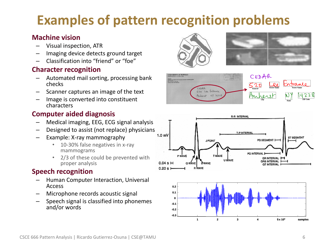# **Examples of pattern recognition problems**

#### • **Machine vision**

- Visual inspection, ATR
- Imaging device detects ground target
- Classification into "friend" or "foe"

#### • **Character recognition**

- Automated mail sorting, processing bank checks
- Scanner captures an image of the text
- Image is converted into constituent characters

#### • **Computer aided diagnosis**

- Medical imaging, EEG, ECG signal analysis
- Designed to assist (not replace) physicians
- Example: X-ray mammography
	- 10-30% false negatives in x-ray mammograms
	- 2/3 of these could be prevented with proper analysis

#### • **Speech recognition**

- Human Computer Interaction, Universal Access
- Microphone records acoustic signal
- Speech signal is classified into phonemes and/or words







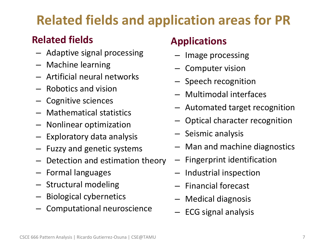# **Related fields and application areas for PR**

# • **Related fields**

- Adaptive signal processing
- Machine learning
- Artificial neural networks
- Robotics and vision
- Cognitive sciences
- Mathematical statistics
- Nonlinear optimization
- Exploratory data analysis
- Fuzzy and genetic systems
- Detection and estimation theory
- Formal languages
- Structural modeling
- Biological cybernetics
- Computational neuroscience

# • **Applications**

- Image processing
- Computer vision
- Speech recognition
- Multimodal interfaces
- Automated target recognition
- Optical character recognition
- Seismic analysis
- Man and machine diagnostics
- Fingerprint identification
- Industrial inspection
- Financial forecast
- Medical diagnosis
- ECG signal analysis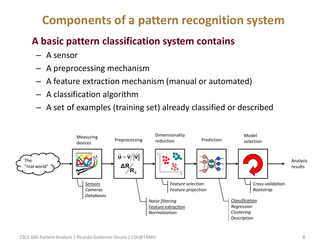# **Components of a pattern recognition system**

# • **A basic pattern classification system contains**

- A sensor
- A preprocessing mechanism
- A feature extraction mechanism (manual or automated)
- A classification algorithm
- A set of examples (training set) already classified or described

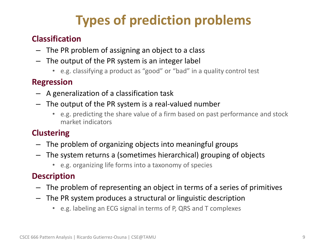# **Types of prediction problems**

#### • **Classification**

- The PR problem of assigning an object to a class
- The output of the PR system is an integer label
	- e.g. classifying a product as "good" or "bad" in a quality control test

#### • **Regression**

- A generalization of a classification task
- The output of the PR system is a real-valued number
	- e.g. predicting the share value of a firm based on past performance and stock market indicators

#### • **Clustering**

- The problem of organizing objects into meaningful groups
- The system returns a (sometimes hierarchical) grouping of objects
	- e.g. organizing life forms into a taxonomy of species

### • **Description**

- The problem of representing an object in terms of a series of primitives
- The PR system produces a structural or linguistic description
	- e.g. labeling an ECG signal in terms of P, QRS and T complexes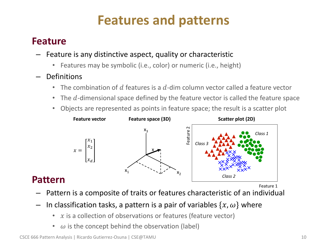# **Features and patterns**

### • **Feature**

• **Pattern**

- Feature is any distinctive aspect, quality or characteristic
	- Features may be symbolic (i.e., color) or numeric (i.e., height)
- Definitions
	- The combination of d features is a d-dim column vector called a feature vector
	- The  $d$ -dimensional space defined by the feature vector is called the feature space
	- Objects are represented as points in feature space; the result is a scatter plot



#### Feature 1

- Pattern is a composite of traits or features characteristic of an individual
- In classification tasks, a pattern is a pair of variables  $\{x, \omega\}$  where
	- $x$  is a collection of observations or features (feature vector)
	- $\omega$  is the concept behind the observation (label)

CSCE 666 Pattern Analysis | Ricardo Gutierrez-Osuna | CSE@TAMU 10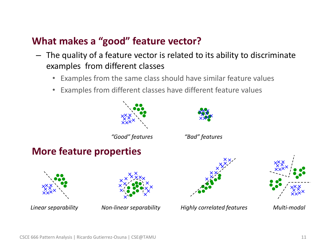### • **What makes a "good" feature vector?**

- The quality of a feature vector is related to its ability to discriminate examples from different classes
	- Examples from the same class should have similar feature values
	- Examples from different classes have different feature values

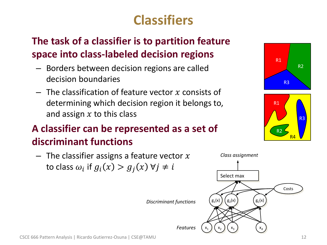# **Classifiers**

# • **The task of a classifier is to partition feature space into class-labeled decision regions**

- Borders between decision regions are called decision boundaries
- $-$  The classification of feature vector x consists of determining which decision region it belongs to, and assign  $x$  to this class

# • **A classifier can be represented as a set of discriminant functions**





*Discriminant functions*



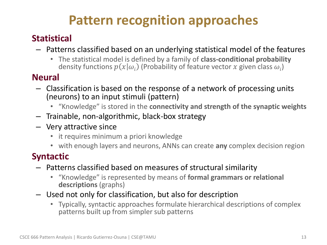# **Pattern recognition approaches**

## • **Statistical**

- Patterns classified based on an underlying statistical model of the features
	- The statistical model is defined by a family of **class-conditional probability** density functions  $p(x|\omega_i)$  (Probability of feature vector  $x$  given class  $\omega_i$ )

### • **Neural**

- Classification is based on the response of a network of processing units (neurons) to an input stimuli (pattern)
	- "Knowledge" is stored in the **connectivity and strength of the synaptic weights**
- Trainable, non-algorithmic, black-box strategy
- Very attractive since
	- it requires minimum a priori knowledge
	- with enough layers and neurons, ANNs can create **any** complex decision region

### • **Syntactic**

- Patterns classified based on measures of structural similarity
	- "Knowledge" is represented by means of **formal grammars or relational descriptions** (graphs)
- Used not only for classification, but also for description
	- Typically, syntactic approaches formulate hierarchical descriptions of complex patterns built up from simpler sub patterns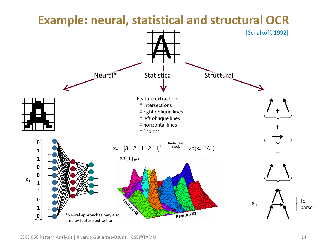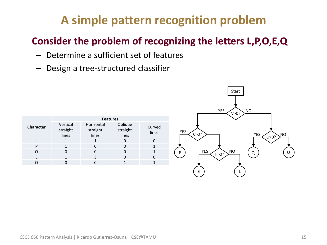# **A simple pattern recognition problem**

# • **Consider the problem of recognizing the letters L,P,O,E,Q**

- Determine a sufficient set of features
- Design a tree-structured classifier

| <b>Character</b> | <b>Features</b>               |                                 |                              |                 |
|------------------|-------------------------------|---------------------------------|------------------------------|-----------------|
|                  | Vertical<br>straight<br>lines | Horizontal<br>straight<br>lines | Oblique<br>straight<br>lines | Curved<br>lines |
|                  |                               |                                 |                              | 0               |
| P                |                               | O                               |                              |                 |
|                  | ŋ                             | O                               |                              |                 |
| F                |                               | 3                               |                              | O               |
|                  |                               |                                 |                              |                 |

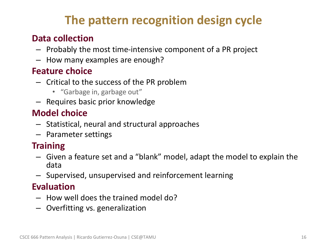# **The pattern recognition design cycle**

### • **Data collection**

- Probably the most time-intensive component of a PR project
- How many examples are enough?

### • **Feature choice**

- Critical to the success of the PR problem
	- "Garbage in, garbage out"
- Requires basic prior knowledge

### • **Model choice**

- Statistical, neural and structural approaches
- Parameter settings

### • **Training**

- Given a feature set and a "blank" model, adapt the model to explain the data
- Supervised, unsupervised and reinforcement learning

### • **Evaluation**

- How well does the trained model do?
- Overfitting vs. generalization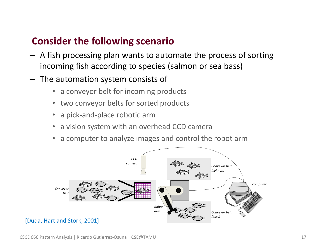### • **Consider the following scenario**

- A fish processing plan wants to automate the process of sorting incoming fish according to species (salmon or sea bass)
- The automation system consists of
	- a conveyor belt for incoming products
	- two conveyor belts for sorted products
	- a pick-and-place robotic arm
	- a vision system with an overhead CCD camera
	- a computer to analyze images and control the robot arm

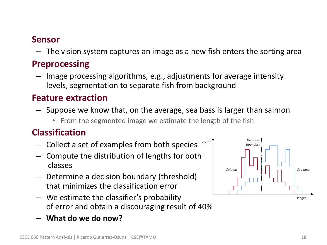#### • **Sensor**

– The vision system captures an image as a new fish enters the sorting area

### • **Preprocessing**

– Image processing algorithms, e.g., adjustments for average intensity levels, segmentation to separate fish from background

### • **Feature extraction**

- Suppose we know that, on the average, sea bass is larger than salmon
	- From the segmented image we estimate the length of the fish

### • **Classification**

- Collect a set of examples from both species *count*
- Compute the distribution of lengths for both classes
- Determine a decision boundary (threshold) that minimizes the classification error
- We estimate the classifier's probability of error and obtain a discouraging result of 40%
- **What do we do now?**

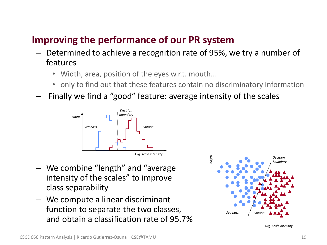# • **Improving the performance of our PR system**

- Determined to achieve a recognition rate of 95%, we try a number of features
	- Width, area, position of the eyes w.r.t. mouth...
	- only to find out that these features contain no discriminatory information
- Finally we find a "good" feature: average intensity of the scales



- We combine "length" and "average intensity of the scales" to improve class separability
- We compute a linear discriminant function to separate the two classes, and obtain a classification rate of 95.7%



*Avg. scale intensity*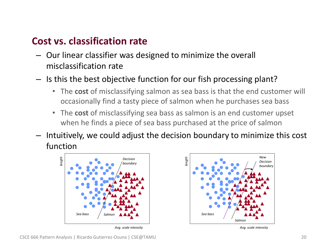### • **Cost vs. classification rate**

- Our linear classifier was designed to minimize the overall misclassification rate
- Is this the best objective function for our fish processing plant?
	- The **cost** of misclassifying salmon as sea bass is that the end customer will occasionally find a tasty piece of salmon when he purchases sea bass
	- The **cost** of misclassifying sea bass as salmon is an end customer upset when he finds a piece of sea bass purchased at the price of salmon
- Intuitively, we could adjust the decision boundary to minimize this cost function



*Avg. scale intensity*



*Avg. scale intensity*